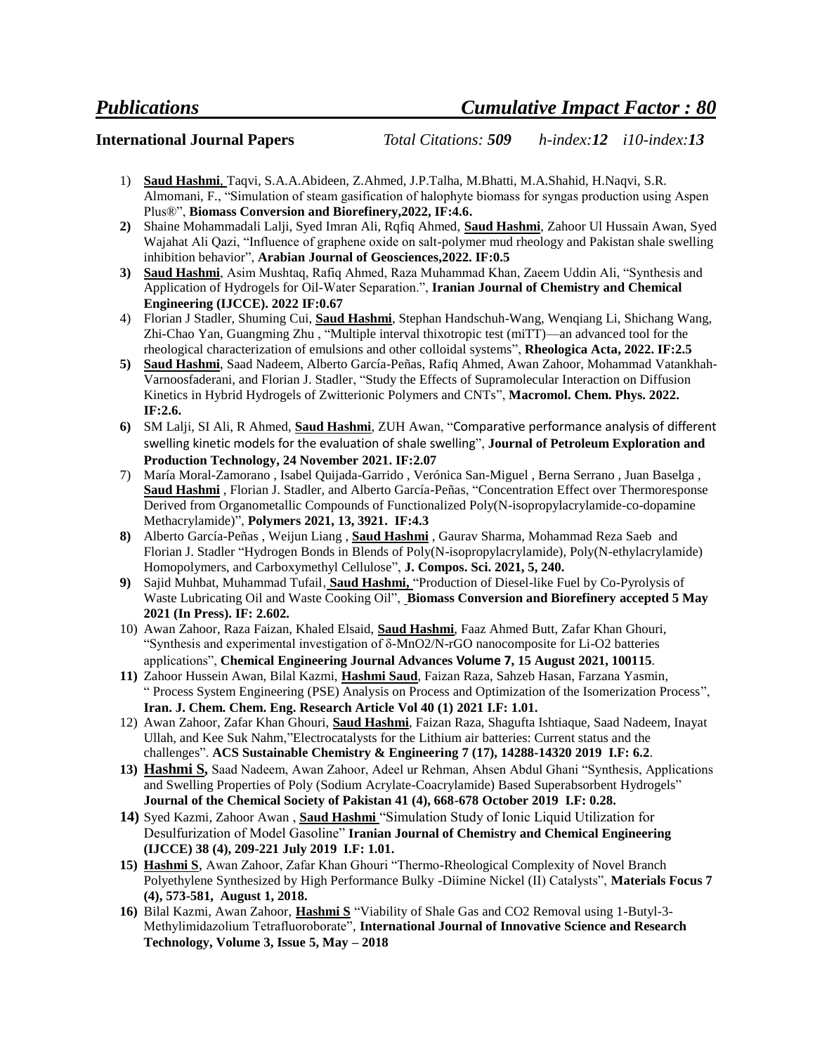**International Journal Papers** *Total Citations: 509 h-index:12 i10-index:13*

- 1) **Saud Hashmi**, Taqvi, S.A.A.Abideen, Z.Ahmed, J.P.Talha, M.Bhatti, M.A.Shahid, H.Naqvi, S.R. Almomani, F., "Simulation of steam gasification of halophyte biomass for syngas production using Aspen Plus®", **Biomass Conversion and Biorefinery,2022, IF:4.6.**
- **2)** Shaine Mohammadali Lalji, Syed Imran Ali, Rqfiq Ahmed, **Saud Hashmi**, Zahoor Ul Hussain Awan, Syed Wajahat Ali Qazi, "Influence of graphene oxide on salt-polymer mud rheology and Pakistan shale swelling inhibition behavior", **Arabian Journal of Geosciences,2022. IF:0.5**
- **3) Saud Hashmi**, Asim Mushtaq, Rafiq Ahmed, Raza Muhammad Khan, Zaeem Uddin Ali, "Synthesis and Application of Hydrogels for Oil-Water Separation.", **Iranian Journal of Chemistry and Chemical Engineering (IJCCE). 2022 IF:0.67**
- 4) Florian J Stadler, Shuming Cui, **Saud Hashmi**, Stephan Handschuh-Wang, Wenqiang Li, Shichang Wang, Zhi-Chao Yan, Guangming Zhu , "Multiple interval thixotropic test (miTT)—an advanced tool for the rheological characterization of emulsions and other colloidal systems", **Rheologica Acta, 2022. IF:2.5**
- **5) Saud Hashmi**, Saad Nadeem, Alberto García-Peñas, Rafiq Ahmed, Awan Zahoor, Mohammad Vatankhah-Varnoosfaderani, and Florian J. Stadler, "Study the Effects of Supramolecular Interaction on Diffusion Kinetics in Hybrid Hydrogels of Zwitterionic Polymers and CNTs", **Macromol. Chem. Phys. 2022. IF:2.6.**
- **6)** SM Lalji, SI Ali, R Ahmed, **Saud Hashmi**, ZUH Awan, "[Comparative performance analysis of different](https://link.springer.com/article/10.1007/s13202-021-01387-9)  [swelling kinetic models for the evaluation of shale swelling](https://link.springer.com/article/10.1007/s13202-021-01387-9)", **Journal of Petroleum Exploration and Production Technology, 24 November 2021. IF:2.07**
- 7) María Moral-Zamorano , Isabel Quijada-Garrido , Verónica San-Miguel , Berna Serrano , Juan Baselga , **Saud Hashmi** , Florian J. Stadler, and Alberto García-Peñas, "Concentration Effect over Thermoresponse Derived from Organometallic Compounds of Functionalized Poly(N-isopropylacrylamide-co-dopamine Methacrylamide)", **Polymers 2021, 13, 3921. IF:4.3**
- **8)** Alberto García-Peñas , Weijun Liang , **Saud Hashmi** , Gaurav Sharma, Mohammad Reza Saeb and Florian J. Stadler "Hydrogen Bonds in Blends of Poly(N-isopropylacrylamide), Poly(N-ethylacrylamide) Homopolymers, and Carboxymethyl Cellulose", **J. Compos. Sci. 2021, 5, 240.**
- **9)** Sajid Muhbat, Muhammad Tufail, **Saud Hashmi,** "Production of Diesel-like Fuel by Co-Pyrolysis of Waste Lubricating Oil and Waste Cooking Oil", **Biomass Conversion and Biorefinery accepted 5 May 2021 (In Press). IF: 2.602.**
- 10) Awan Zahoor, Raza Faizan, Khaled Elsaid, **Saud Hashmi**, Faaz Ahmed Butt, Zafar Khan Ghouri, "Synthesis and experimental investigation of δ-MnO2/N-rGO nanocomposite for Li-O2 batteries applications", **Chemical Engineering Journal Advances [Volume 7](https://www.sciencedirect.com/science/journal/26668211/7/supp/C), 15 August 2021, 100115***.*
- **11)** Zahoor Hussein Awan, Bilal Kazmi, **Hashmi Saud**, Faizan Raza, Sahzeb Hasan, Farzana Yasmin, " Process System Engineering (PSE) Analysis on Process and Optimization of the Isomerization Process", **Iran. J. Chem. Chem. Eng. Research Article Vol 40 (1) 2021 I.F: 1.01.**
- 12) Awan Zahoor, Zafar Khan Ghouri, **Saud Hashmi**, Faizan Raza, Shagufta Ishtiaque, Saad Nadeem, Inayat Ullah, and Kee Suk Nahm,"Electrocatalysts for the Lithium air batteries: Current status and the challenges". **ACS Sustainable Chemistry & Engineering 7 (17), 14288-14320 2019 I.F: 6.2**.
- **13) Hashmi S,** Saad Nadeem, Awan Zahoor, Adeel ur Rehman, Ahsen Abdul Ghani "Synthesis, Applications and Swelling Properties of Poly (Sodium Acrylate-Coacrylamide) Based Superabsorbent Hydrogels" **Journal of the Chemical Society of Pakistan 41 (4), 668-678 October 2019 I.F: 0.28.**
- **14)** [Syed Kazmi,](http://www.ijcce.ac.ir/?_action=article&au=200918&_au=syed++kazmi) [Zahoor Awan](http://www.ijcce.ac.ir/?_action=article&au=200931&_au=zahoor++awan) , **[Saud Hashmi](http://www.ijcce.ac.ir/?_action=article&au=143948&_au=Saud++Hashmi)** "Simulation Study of Ionic Liquid Utilization for Desulfurization of Model Gasoline" **Iranian Journal of Chemistry and Chemical Engineering (IJCCE) 38 (4), 209-221 July 2019 I.F: 1.01.**
- **15) Hashmi S**, Awan Zahoor, Zafar Khan Ghouri "Thermo-Rheological Complexity of Novel Branch Polyethylene Synthesized by High Performance Bulky -Diimine Nickel (II) Catalysts", **Materials Focus 7 (4), 573-581, August 1, 2018.**
- **16)** Bilal Kazmi, Awan Zahoor, **Hashmi S** "Viability of Shale Gas and CO2 Removal using 1-Butyl-3- Methylimidazolium Tetrafluoroborate", **International Journal of Innovative Science and Research Technology, Volume 3, Issue 5, May – 2018**